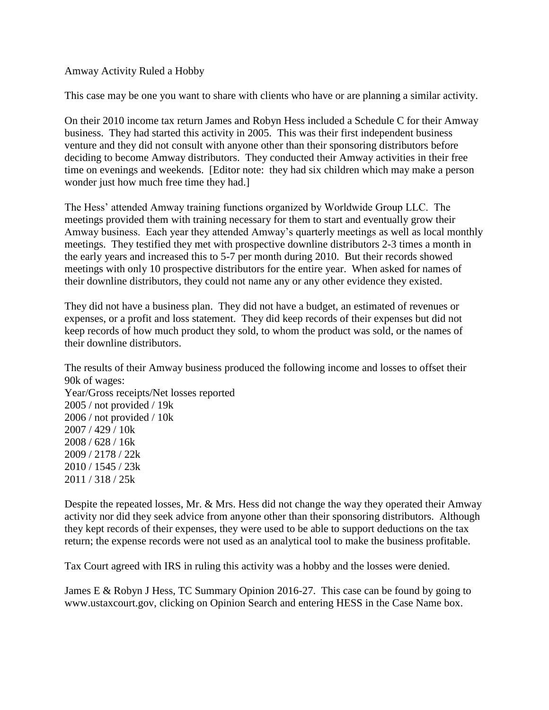Amway Activity Ruled a Hobby

This case may be one you want to share with clients who have or are planning a similar activity.

On their 2010 income tax return James and Robyn Hess included a Schedule C for their Amway business. They had started this activity in 2005. This was their first independent business venture and they did not consult with anyone other than their sponsoring distributors before deciding to become Amway distributors. They conducted their Amway activities in their free time on evenings and weekends. [Editor note: they had six children which may make a person wonder just how much free time they had.]

The Hess' attended Amway training functions organized by Worldwide Group LLC. The meetings provided them with training necessary for them to start and eventually grow their Amway business. Each year they attended Amway's quarterly meetings as well as local monthly meetings. They testified they met with prospective downline distributors 2-3 times a month in the early years and increased this to 5-7 per month during 2010. But their records showed meetings with only 10 prospective distributors for the entire year. When asked for names of their downline distributors, they could not name any or any other evidence they existed.

They did not have a business plan. They did not have a budget, an estimated of revenues or expenses, or a profit and loss statement. They did keep records of their expenses but did not keep records of how much product they sold, to whom the product was sold, or the names of their downline distributors.

The results of their Amway business produced the following income and losses to offset their 90k of wages: Year/Gross receipts/Net losses reported 2005 / not provided / 19k 2006 / not provided / 10k 2007 / 429 / 10k 2008 / 628 / 16k 2009 / 2178 / 22k 2010 / 1545 / 23k 2011 / 318 / 25k

Despite the repeated losses, Mr. & Mrs. Hess did not change the way they operated their Amway activity nor did they seek advice from anyone other than their sponsoring distributors. Although they kept records of their expenses, they were used to be able to support deductions on the tax return; the expense records were not used as an analytical tool to make the business profitable.

Tax Court agreed with IRS in ruling this activity was a hobby and the losses were denied.

James E & Robyn J Hess, TC Summary Opinion 2016-27. This case can be found by going to [www.ustaxcourt.gov,](http://www.ustaxcourt.gov/) clicking on Opinion Search and entering HESS in the Case Name box.